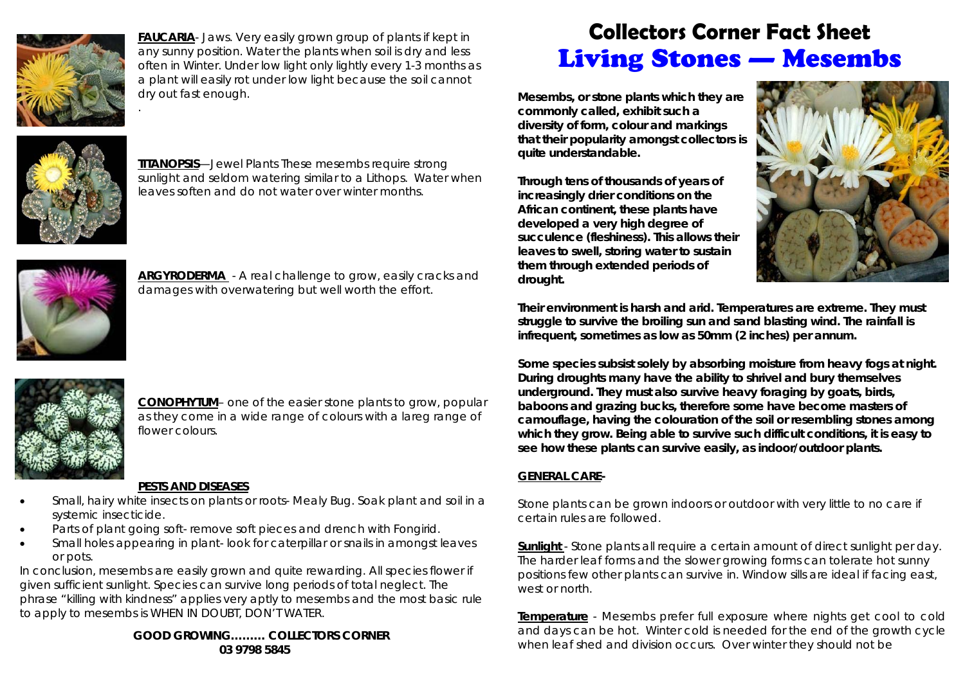

.

**FAUCARIA**- Jaws. Very easily grown group of plants if kept in any sunny position. Water the plants when soil is dry and less often in Winter. Under low light only lightly every 1-3 months as a plant will easily rot under low light because the soil cannot dry out fast enough.



**TITANOPSIS**—Jewel Plants These mesembs require strong sunlight and seldom watering similar to a Lithops. Water when leaves soften and do not water over winter months.



**ARGYRODERMA** - A real challenge to grow, easily cracks and damages with overwatering but well worth the effort.



**CONOPHYTUM**– one of the easier stone plants to grow, popular as they come in a wide range of colours with a lareg range of flower colours.

## **PESTS AND DISEASES**

- $\bullet$  Small, hairy white insects on plants or roots- Mealy Bug. Soak plant and soil in a systemic insecticide.
- $\bullet$ Parts of plant going soft- remove soft pieces and drench with Fongirid.
- $\bullet$  Small holes appearing in plant- look for caterpillar or snails in amongst leaves or pots.

In conclusion, mesembs are easily grown and quite rewarding. All species flower if given sufficient sunlight. Species can survive long periods of total neglect. The phrase "killing with kindness" applies very aptly to mesembs and the most basic rule to apply to mesembs is WHEN IN DOUBT, DON'T WATER.

> **GOOD GROWING……… COLLECTORS CORNER 03 9798 5845**

## **Collectors Corner Fact Sheet**  Living Stones — Mesembs

**Mesembs, or stone plants which they are commonly called, exhibit such a diversity of form, colour and markings that their popularity amongst collectors is quite understandable.** 

**Through tens of thousands of years of increasingly drier conditions on the African continent, these plants have developed a very high degree of succulence (fleshiness). This allows their leaves to swell, storing water to sustain them through extended periods of drought.** 



**Their environment is harsh and arid. Temperatures are extreme. They must struggle to survive the broiling sun and sand blasting wind. The rainfall is infrequent, sometimes as low as 50mm (2 inches) per annum.** 

**Some species subsist solely by absorbing moisture from heavy fogs at night. During droughts many have the ability to shrivel and bury themselves underground. They must also survive heavy foraging by goats, birds, baboons and grazing bucks, therefore some have become masters of camouflage, having the colouration of the soil or resembling stones among which they grow. Being able to survive such difficult conditions, it is easy to see how these plants can survive easily, as indoor/outdoor plants.** 

## **GENERAL CARE-**

Stone plants can be grown indoors or outdoor with very little to no care if certain rules are followed.

**Sunlight** - Stone plants all require a certain amount of direct sunlight per day. The harder leaf forms and the slower growing forms can tolerate hot sunny positions few other plants can survive in. Window sills are ideal if facing east, west or north.

**Temperature** - Mesembs prefer full exposure where nights get cool to cold and days can be hot. Winter cold is needed for the end of the growth cycle when leaf shed and division occurs. Over winter they should not be